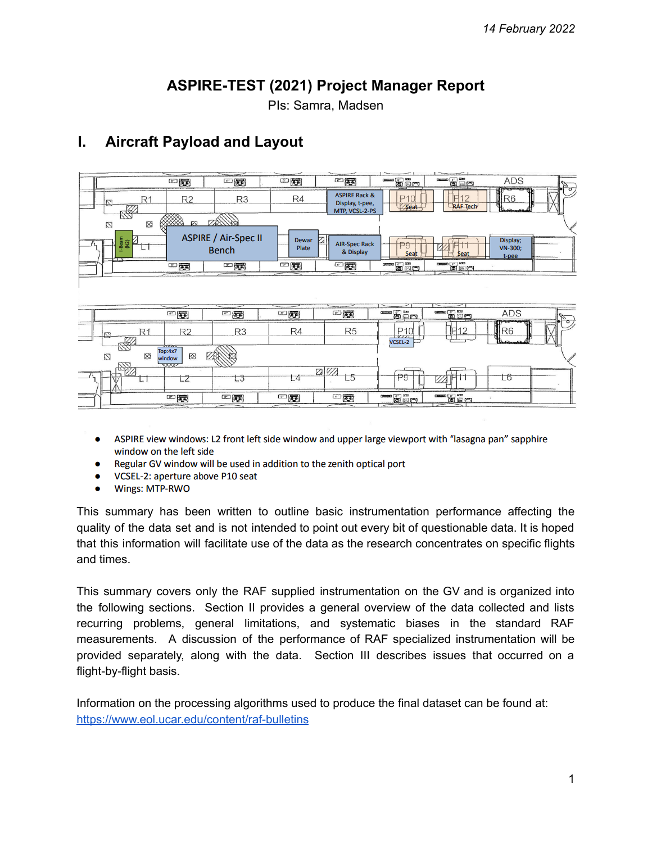# **ASPIRE-TEST (2021) Project Manager Report**

PIs: Samra, Madsen

# **I. Aircraft Payload and Layout**



- ASPIRE view windows: L2 front left side window and upper large viewport with "lasagna pan" sapphire window on the left side
- Regular GV window will be used in addition to the zenith optical port
- VCSEL-2: aperture above P10 seat
- Wings: MTP-RWO

This summary has been written to outline basic instrumentation performance affecting the quality of the data set and is not intended to point out every bit of questionable data. It is hoped that this information will facilitate use of the data as the research concentrates on specific flights and times.

This summary covers only the RAF supplied instrumentation on the GV and is organized into the following sections. Section II provides a general overview of the data collected and lists recurring problems, general limitations, and systematic biases in the standard RAF measurements. A discussion of the performance of RAF specialized instrumentation will be provided separately, along with the data. Section III describes issues that occurred on a flight-by-flight basis.

Information on the processing algorithms used to produce the final dataset can be found at: <https://www.eol.ucar.edu/content/raf-bulletins>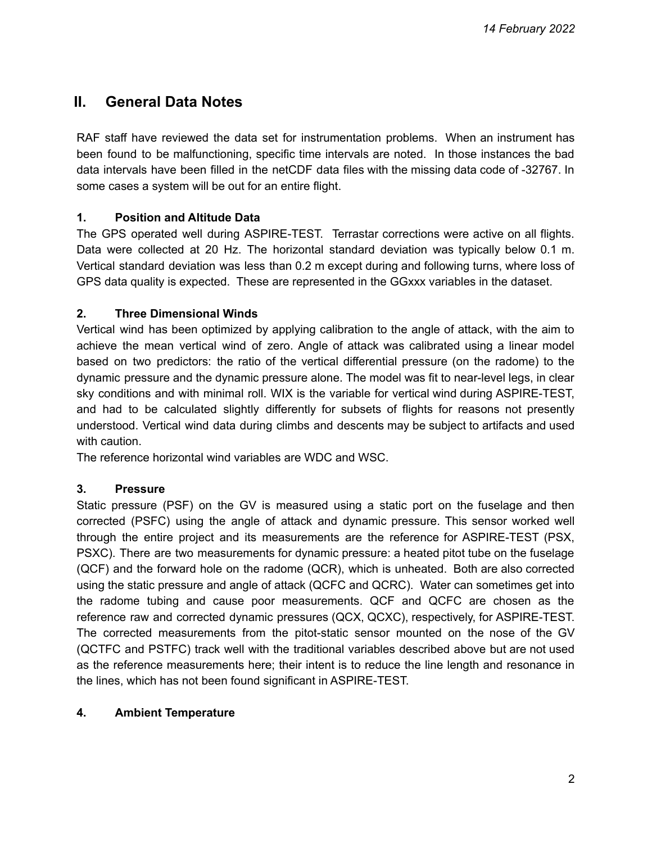# **II. General Data Notes**

RAF staff have reviewed the data set for instrumentation problems. When an instrument has been found to be malfunctioning, specific time intervals are noted. In those instances the bad data intervals have been filled in the netCDF data files with the missing data code of -32767. In some cases a system will be out for an entire flight.

## **1. Position and Altitude Data**

The GPS operated well during ASPIRE-TEST. Terrastar corrections were active on all flights. Data were collected at 20 Hz. The horizontal standard deviation was typically below 0.1 m. Vertical standard deviation was less than 0.2 m except during and following turns, where loss of GPS data quality is expected. These are represented in the GGxxx variables in the dataset.

## **2. Three Dimensional Winds**

Vertical wind has been optimized by applying calibration to the angle of attack, with the aim to achieve the mean vertical wind of zero. Angle of attack was calibrated using a linear model based on two predictors: the ratio of the vertical differential pressure (on the radome) to the dynamic pressure and the dynamic pressure alone. The model was fit to near-level legs, in clear sky conditions and with minimal roll. WIX is the variable for vertical wind during ASPIRE-TEST, and had to be calculated slightly differently for subsets of flights for reasons not presently understood. Vertical wind data during climbs and descents may be subject to artifacts and used with caution.

The reference horizontal wind variables are WDC and WSC.

## **3. Pressure**

Static pressure (PSF) on the GV is measured using a static port on the fuselage and then corrected (PSFC) using the angle of attack and dynamic pressure. This sensor worked well through the entire project and its measurements are the reference for ASPIRE-TEST (PSX, PSXC). There are two measurements for dynamic pressure: a heated pitot tube on the fuselage (QCF) and the forward hole on the radome (QCR), which is unheated. Both are also corrected using the static pressure and angle of attack (QCFC and QCRC). Water can sometimes get into the radome tubing and cause poor measurements. QCF and QCFC are chosen as the reference raw and corrected dynamic pressures (QCX, QCXC), respectively, for ASPIRE-TEST. The corrected measurements from the pitot-static sensor mounted on the nose of the GV (QCTFC and PSTFC) track well with the traditional variables described above but are not used as the reference measurements here; their intent is to reduce the line length and resonance in the lines, which has not been found significant in ASPIRE-TEST.

## **4. Ambient Temperature**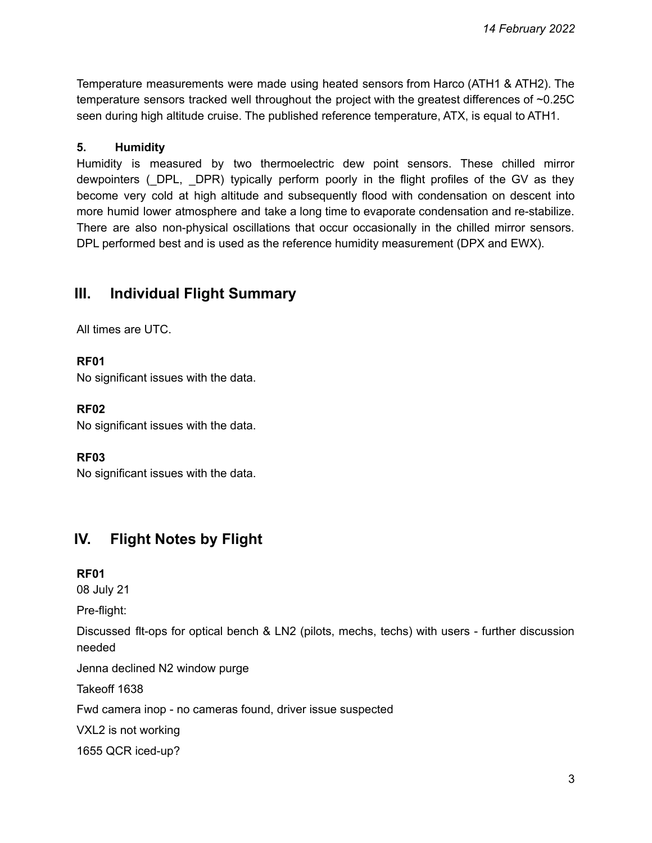Temperature measurements were made using heated sensors from Harco (ATH1 & ATH2). The temperature sensors tracked well throughout the project with the greatest differences of ~0.25C seen during high altitude cruise. The published reference temperature, ATX, is equal to ATH1.

### **5. Humidity**

Humidity is measured by two thermoelectric dew point sensors. These chilled mirror dewpointers (\_DPL, \_DPR) typically perform poorly in the flight profiles of the GV as they become very cold at high altitude and subsequently flood with condensation on descent into more humid lower atmosphere and take a long time to evaporate condensation and re-stabilize. There are also non-physical oscillations that occur occasionally in the chilled mirror sensors. DPL performed best and is used as the reference humidity measurement (DPX and EWX).

## **III. Individual Flight Summary**

All times are UTC.

### **RF01**

No significant issues with the data.

### **RF02**

No significant issues with the data.

### **RF03**

No significant issues with the data.

## **IV. Flight Notes by Flight**

### **RF01**

08 July 21

Pre-flight:

Discussed flt-ops for optical bench & LN2 (pilots, mechs, techs) with users - further discussion needed

Jenna declined N2 window purge

Takeoff 1638

Fwd camera inop - no cameras found, driver issue suspected

VXL2 is not working

1655 QCR iced-up?